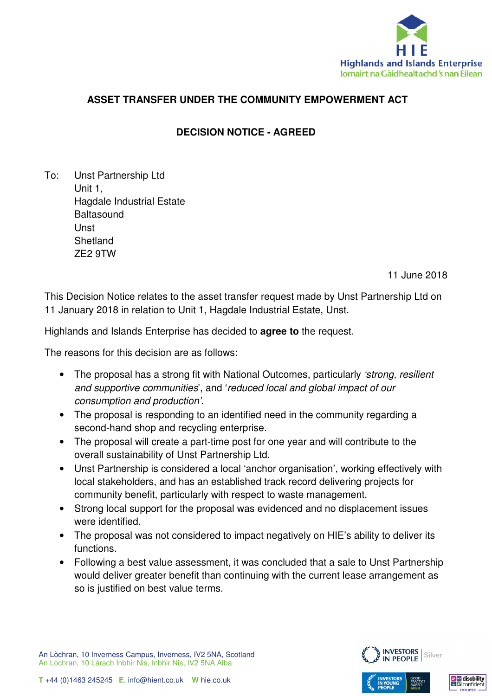

# **ASSET TRANSFER UNDER THE COMMUNITY EMPOWERMENT ACT**

# **DECISION NOTICE - AGREED**

To: Unst Partnership Ltd Unit 1, Hagdale Industrial Estate **Baltasound Unst Shetland** ZE2 9TW

11 June 2018

This Decision Notice relates to the asset transfer request made by Unst Partnership Ltd on 11 January 2018 in relation to Unit 1, Hagdale Industrial Estate, Unst.

Highlands and Islands Enterprise has decided to **agree to** the request.

The reasons for this decision are as follows:

- The proposal has a strong fit with National Outcomes, particularly *'strong, resilient* and supportive communities', and 'reduced local and global impact of our consumption and production'.
- The proposal is responding to an identified need in the community regarding a second-hand shop and recycling enterprise.
- The proposal will create a part-time post for one year and will contribute to the overall sustainability of Unst Partnership Ltd.
- Unst Partnership is considered a local 'anchor organisation', working effectively with local stakeholders, and has an established track record delivering projects for community benefit, particularly with respect to waste management.
- Strong local support for the proposal was evidenced and no displacement issues were identified.
- The proposal was not considered to impact negatively on HIE's ability to deliver its functions.
- Following a best value assessment, it was concluded that a sale to Unst Partnership would deliver greater benefit than continuing with the current lease arrangement as so is justified on best value terms.



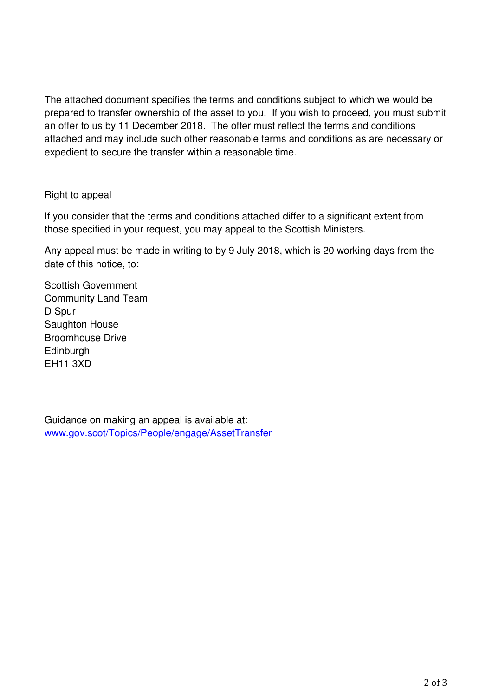The attached document specifies the terms and conditions subject to which we would be prepared to transfer ownership of the asset to you. If you wish to proceed, you must submit an offer to us by 11 December 2018. The offer must reflect the terms and conditions attached and may include such other reasonable terms and conditions as are necessary or expedient to secure the transfer within a reasonable time.

### Right to appeal

If you consider that the terms and conditions attached differ to a significant extent from those specified in your request, you may appeal to the Scottish Ministers.

Any appeal must be made in writing to by 9 July 2018, which is 20 working days from the date of this notice, to:

Scottish Government Community Land Team D Spur Saughton House Broomhouse Drive **Edinburgh** EH11 3XD

Guidance on making an appeal is available at: www.gov.scot/Topics/People/engage/AssetTransfer